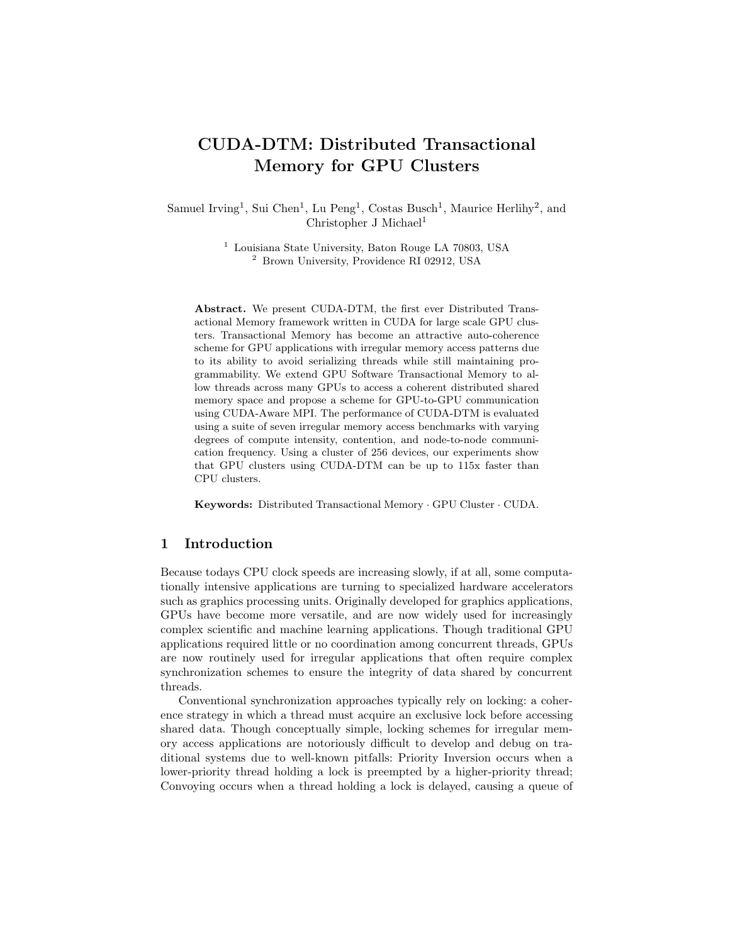# CUDA-DTM: Distributed Transactional Memory for GPU Clusters

Samuel Irving<sup>1</sup>, Sui Chen<sup>1</sup>, Lu Peng<sup>1</sup>, Costas Busch<sup>1</sup>, Maurice Herlihy<sup>2</sup>, and Christopher J Michael<sup>1</sup>

> <sup>1</sup> Louisiana State University, Baton Rouge LA 70803, USA <sup>2</sup> Brown University, Providence RI 02912, USA

Abstract. We present CUDA-DTM, the first ever Distributed Transactional Memory framework written in CUDA for large scale GPU clusters. Transactional Memory has become an attractive auto-coherence scheme for GPU applications with irregular memory access patterns due to its ability to avoid serializing threads while still maintaining programmability. We extend GPU Software Transactional Memory to allow threads across many GPUs to access a coherent distributed shared memory space and propose a scheme for GPU-to-GPU communication using CUDA-Aware MPI. The performance of CUDA-DTM is evaluated using a suite of seven irregular memory access benchmarks with varying degrees of compute intensity, contention, and node-to-node communication frequency. Using a cluster of 256 devices, our experiments show that GPU clusters using CUDA-DTM can be up to 115x faster than CPU clusters.

Keywords: Distributed Transactional Memory · GPU Cluster · CUDA.

## 1 Introduction

Because todays CPU clock speeds are increasing slowly, if at all, some computationally intensive applications are turning to specialized hardware accelerators such as graphics processing units. Originally developed for graphics applications, GPUs have become more versatile, and are now widely used for increasingly complex scientific and machine learning applications. Though traditional GPU applications required little or no coordination among concurrent threads, GPUs are now routinely used for irregular applications that often require complex synchronization schemes to ensure the integrity of data shared by concurrent threads.

Conventional synchronization approaches typically rely on locking: a coherence strategy in which a thread must acquire an exclusive lock before accessing shared data. Though conceptually simple, locking schemes for irregular memory access applications are notoriously difficult to develop and debug on traditional systems due to well-known pitfalls: Priority Inversion occurs when a lower-priority thread holding a lock is preempted by a higher-priority thread; Convoying occurs when a thread holding a lock is delayed, causing a queue of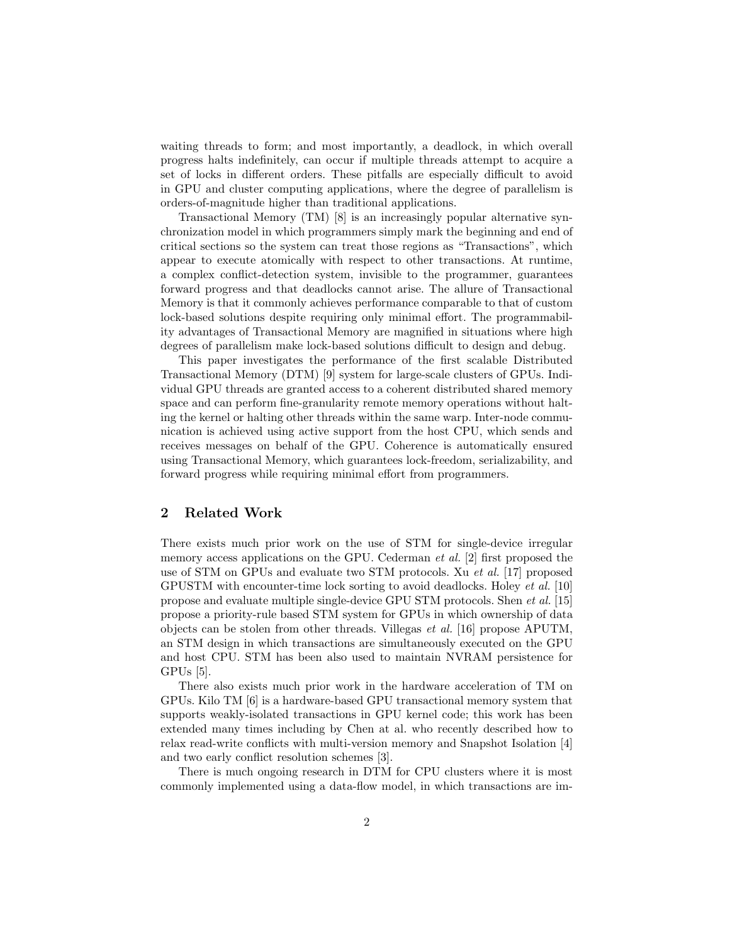waiting threads to form; and most importantly, a deadlock, in which overall progress halts indefinitely, can occur if multiple threads attempt to acquire a set of locks in different orders. These pitfalls are especially difficult to avoid in GPU and cluster computing applications, where the degree of parallelism is orders-of-magnitude higher than traditional applications.

Transactional Memory (TM) [8] is an increasingly popular alternative synchronization model in which programmers simply mark the beginning and end of critical sections so the system can treat those regions as "Transactions", which appear to execute atomically with respect to other transactions. At runtime, a complex conflict-detection system, invisible to the programmer, guarantees forward progress and that deadlocks cannot arise. The allure of Transactional Memory is that it commonly achieves performance comparable to that of custom lock-based solutions despite requiring only minimal effort. The programmability advantages of Transactional Memory are magnified in situations where high degrees of parallelism make lock-based solutions difficult to design and debug.

This paper investigates the performance of the first scalable Distributed Transactional Memory (DTM) [9] system for large-scale clusters of GPUs. Individual GPU threads are granted access to a coherent distributed shared memory space and can perform fine-granularity remote memory operations without halting the kernel or halting other threads within the same warp. Inter-node communication is achieved using active support from the host CPU, which sends and receives messages on behalf of the GPU. Coherence is automatically ensured using Transactional Memory, which guarantees lock-freedom, serializability, and forward progress while requiring minimal effort from programmers.

## 2 Related Work

There exists much prior work on the use of STM for single-device irregular memory access applications on the GPU. Cederman *et al.* [2] first proposed the use of STM on GPUs and evaluate two STM protocols. Xu et al. [17] proposed GPUSTM with encounter-time lock sorting to avoid deadlocks. Holey et al. [10] propose and evaluate multiple single-device GPU STM protocols. Shen et al. [15] propose a priority-rule based STM system for GPUs in which ownership of data objects can be stolen from other threads. Villegas et al. [16] propose APUTM, an STM design in which transactions are simultaneously executed on the GPU and host CPU. STM has been also used to maintain NVRAM persistence for GPUs [5].

There also exists much prior work in the hardware acceleration of TM on GPUs. Kilo TM [6] is a hardware-based GPU transactional memory system that supports weakly-isolated transactions in GPU kernel code; this work has been extended many times including by Chen at al. who recently described how to relax read-write conflicts with multi-version memory and Snapshot Isolation [4] and two early conflict resolution schemes [3].

There is much ongoing research in DTM for CPU clusters where it is most commonly implemented using a data-flow model, in which transactions are im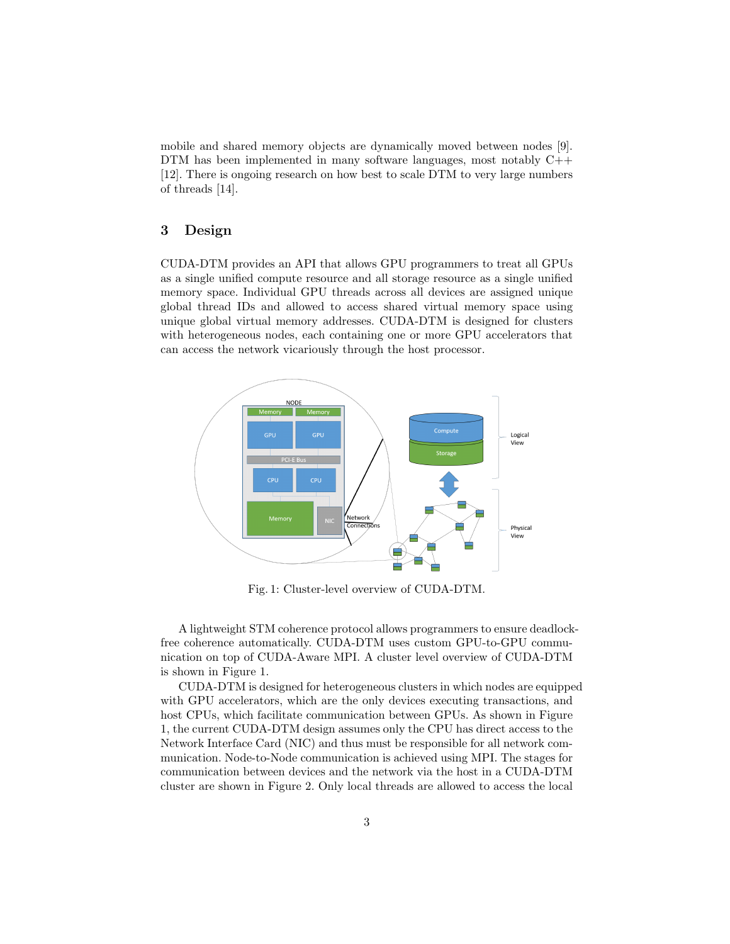mobile and shared memory objects are dynamically moved between nodes [9]. DTM has been implemented in many software languages, most notably  $C++$ [12]. There is ongoing research on how best to scale DTM to very large numbers of threads [14].

## 3 Design

CUDA-DTM provides an API that allows GPU programmers to treat all GPUs as a single unified compute resource and all storage resource as a single unified memory space. Individual GPU threads across all devices are assigned unique global thread IDs and allowed to access shared virtual memory space using unique global virtual memory addresses. CUDA-DTM is designed for clusters with heterogeneous nodes, each containing one or more GPU accelerators that can access the network vicariously through the host processor.



Fig. 1: Cluster-level overview of CUDA-DTM.

A lightweight STM coherence protocol allows programmers to ensure deadlockfree coherence automatically. CUDA-DTM uses custom GPU-to-GPU communication on top of CUDA-Aware MPI. A cluster level overview of CUDA-DTM is shown in Figure 1.

CUDA-DTM is designed for heterogeneous clusters in which nodes are equipped with GPU accelerators, which are the only devices executing transactions, and host CPUs, which facilitate communication between GPUs. As shown in Figure 1, the current CUDA-DTM design assumes only the CPU has direct access to the Network Interface Card (NIC) and thus must be responsible for all network communication. Node-to-Node communication is achieved using MPI. The stages for communication between devices and the network via the host in a CUDA-DTM cluster are shown in Figure 2. Only local threads are allowed to access the local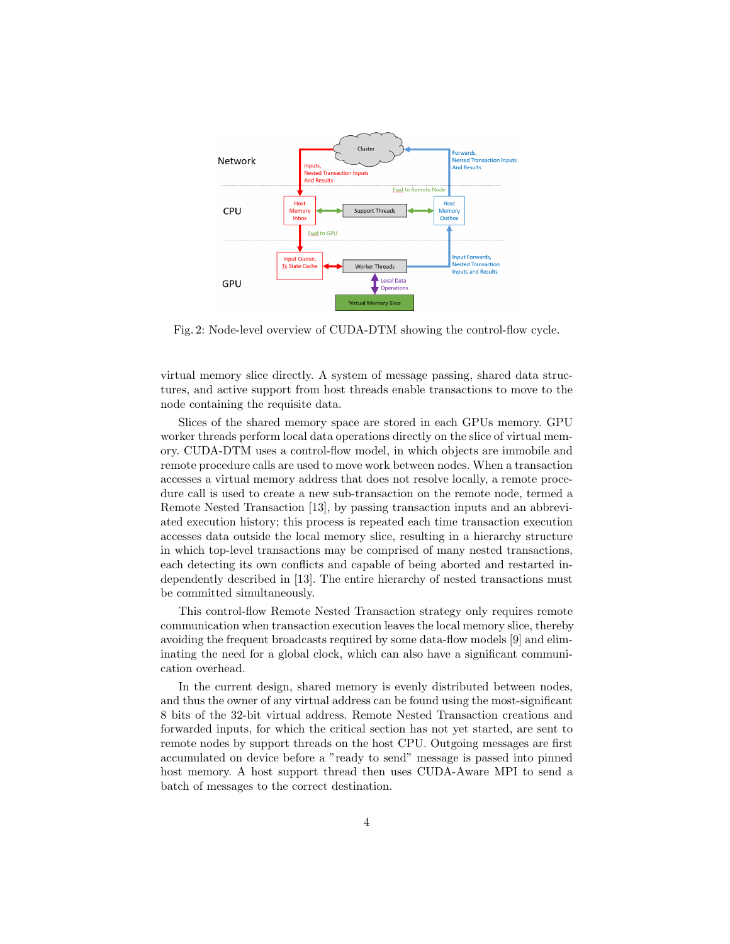

Fig. 2: Node-level overview of CUDA-DTM showing the control-flow cycle.

virtual memory slice directly. A system of message passing, shared data structures, and active support from host threads enable transactions to move to the node containing the requisite data.

Slices of the shared memory space are stored in each GPUs memory. GPU worker threads perform local data operations directly on the slice of virtual memory. CUDA-DTM uses a control-flow model, in which objects are immobile and remote procedure calls are used to move work between nodes. When a transaction accesses a virtual memory address that does not resolve locally, a remote procedure call is used to create a new sub-transaction on the remote node, termed a Remote Nested Transaction [13], by passing transaction inputs and an abbreviated execution history; this process is repeated each time transaction execution accesses data outside the local memory slice, resulting in a hierarchy structure in which top-level transactions may be comprised of many nested transactions, each detecting its own conflicts and capable of being aborted and restarted independently described in [13]. The entire hierarchy of nested transactions must be committed simultaneously.

This control-flow Remote Nested Transaction strategy only requires remote communication when transaction execution leaves the local memory slice, thereby avoiding the frequent broadcasts required by some data-flow models [9] and eliminating the need for a global clock, which can also have a significant communication overhead.

In the current design, shared memory is evenly distributed between nodes, and thus the owner of any virtual address can be found using the most-significant 8 bits of the 32-bit virtual address. Remote Nested Transaction creations and forwarded inputs, for which the critical section has not yet started, are sent to remote nodes by support threads on the host CPU. Outgoing messages are first accumulated on device before a "ready to send" message is passed into pinned host memory. A host support thread then uses CUDA-Aware MPI to send a batch of messages to the correct destination.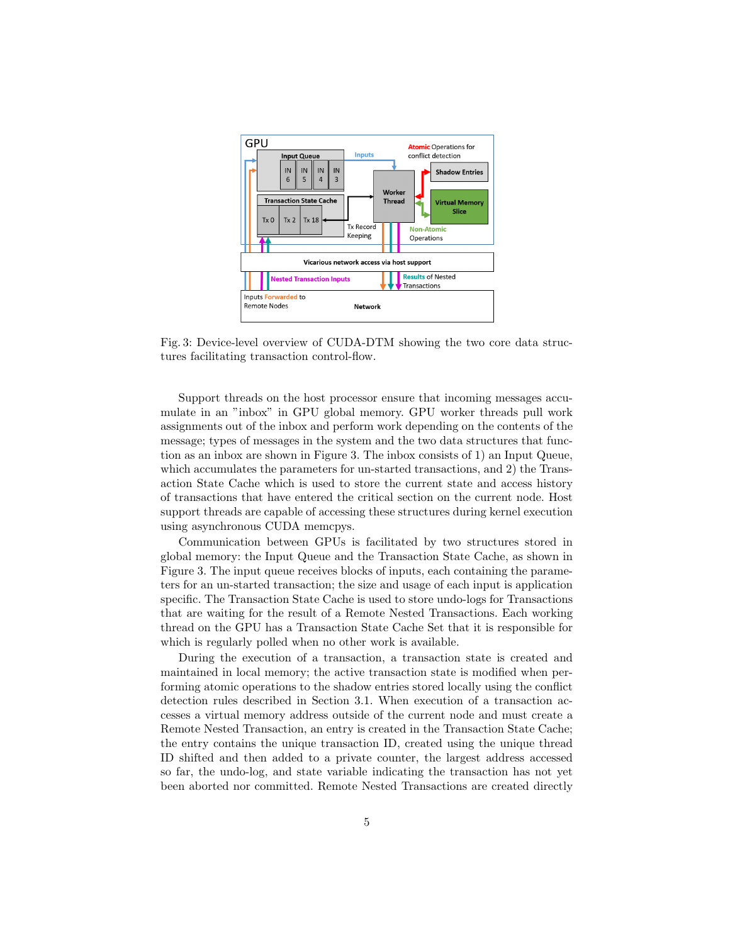

Fig. 3: Device-level overview of CUDA-DTM showing the two core data structures facilitating transaction control-flow.

Support threads on the host processor ensure that incoming messages accumulate in an "inbox" in GPU global memory. GPU worker threads pull work assignments out of the inbox and perform work depending on the contents of the message; types of messages in the system and the two data structures that function as an inbox are shown in Figure 3. The inbox consists of 1) an Input Queue, which accumulates the parameters for un-started transactions, and 2) the Transaction State Cache which is used to store the current state and access history of transactions that have entered the critical section on the current node. Host support threads are capable of accessing these structures during kernel execution using asynchronous CUDA memcpys.

Communication between GPUs is facilitated by two structures stored in global memory: the Input Queue and the Transaction State Cache, as shown in Figure 3. The input queue receives blocks of inputs, each containing the parameters for an un-started transaction; the size and usage of each input is application specific. The Transaction State Cache is used to store undo-logs for Transactions that are waiting for the result of a Remote Nested Transactions. Each working thread on the GPU has a Transaction State Cache Set that it is responsible for which is regularly polled when no other work is available.

During the execution of a transaction, a transaction state is created and maintained in local memory; the active transaction state is modified when performing atomic operations to the shadow entries stored locally using the conflict detection rules described in Section 3.1. When execution of a transaction accesses a virtual memory address outside of the current node and must create a Remote Nested Transaction, an entry is created in the Transaction State Cache; the entry contains the unique transaction ID, created using the unique thread ID shifted and then added to a private counter, the largest address accessed so far, the undo-log, and state variable indicating the transaction has not yet been aborted nor committed. Remote Nested Transactions are created directly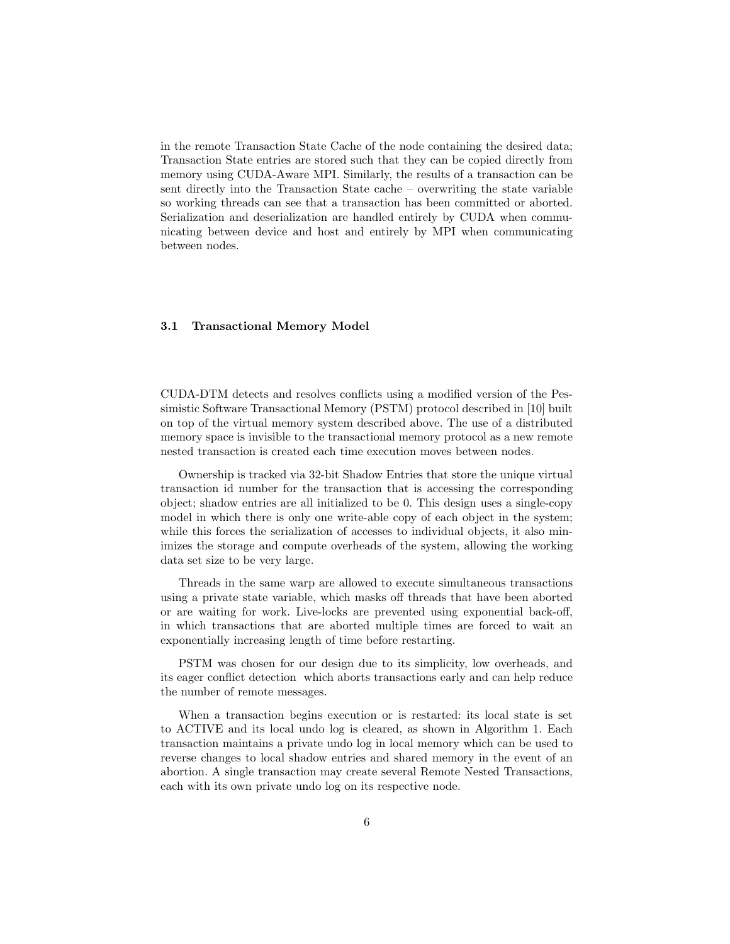in the remote Transaction State Cache of the node containing the desired data; Transaction State entries are stored such that they can be copied directly from memory using CUDA-Aware MPI. Similarly, the results of a transaction can be sent directly into the Transaction State cache – overwriting the state variable so working threads can see that a transaction has been committed or aborted. Serialization and deserialization are handled entirely by CUDA when communicating between device and host and entirely by MPI when communicating between nodes.

#### 3.1 Transactional Memory Model

CUDA-DTM detects and resolves conflicts using a modified version of the Pessimistic Software Transactional Memory (PSTM) protocol described in [10] built on top of the virtual memory system described above. The use of a distributed memory space is invisible to the transactional memory protocol as a new remote nested transaction is created each time execution moves between nodes.

Ownership is tracked via 32-bit Shadow Entries that store the unique virtual transaction id number for the transaction that is accessing the corresponding object; shadow entries are all initialized to be 0. This design uses a single-copy model in which there is only one write-able copy of each object in the system; while this forces the serialization of accesses to individual objects, it also minimizes the storage and compute overheads of the system, allowing the working data set size to be very large.

Threads in the same warp are allowed to execute simultaneous transactions using a private state variable, which masks off threads that have been aborted or are waiting for work. Live-locks are prevented using exponential back-off, in which transactions that are aborted multiple times are forced to wait an exponentially increasing length of time before restarting.

PSTM was chosen for our design due to its simplicity, low overheads, and its eager conflict detection which aborts transactions early and can help reduce the number of remote messages.

When a transaction begins execution or is restarted: its local state is set to ACTIVE and its local undo log is cleared, as shown in Algorithm 1. Each transaction maintains a private undo log in local memory which can be used to reverse changes to local shadow entries and shared memory in the event of an abortion. A single transaction may create several Remote Nested Transactions, each with its own private undo log on its respective node.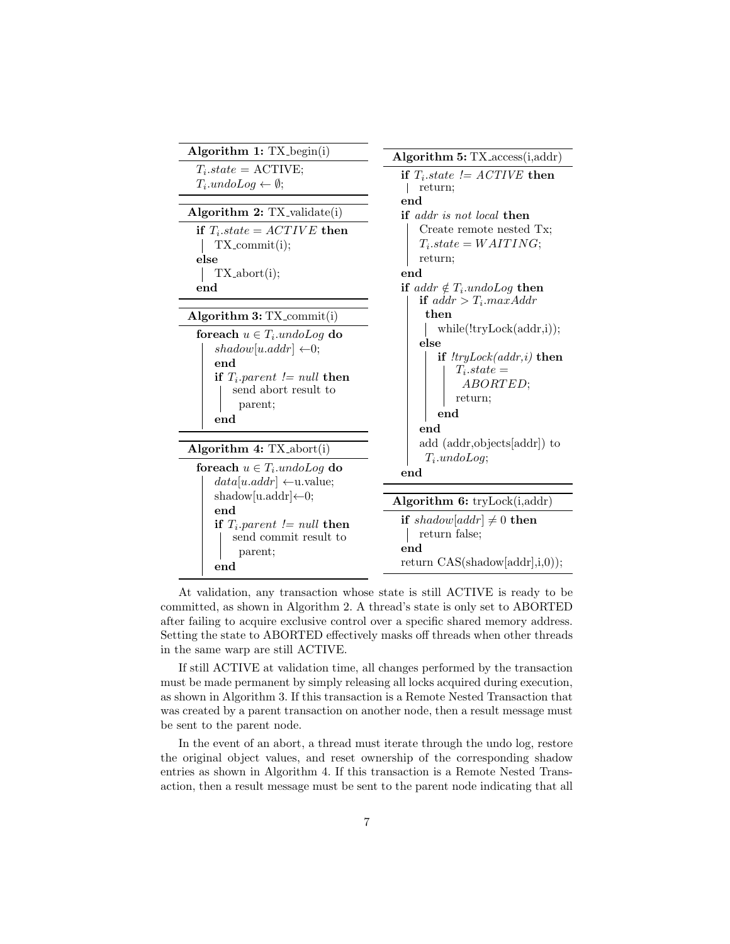| $T_i.state = ACTIVE$                                                                                                                               | Algorithm $5: TX \text{ access}(i, addr)$                                                                                                                                               |
|----------------------------------------------------------------------------------------------------------------------------------------------------|-----------------------------------------------------------------------------------------------------------------------------------------------------------------------------------------|
| $T_i$ .undoLog $\leftarrow \emptyset$ ;                                                                                                            | if $T_i.state$ != $ACTIVE$ then<br>return:                                                                                                                                              |
| Algorithm $2: TX_value(i)$<br>if $T_i.state = ACTIVE$ then<br>$TX_{commit}(i);$<br>else<br>$TX-abort(i);$<br>end                                   | end<br><b>if</b> addr is not local <b>then</b><br>Create remote nested Tx;<br>$T_i.state = WAITING;$<br>return:<br>end<br>if $addr \notin T_i. undoLog$ then<br>if $addr > T_i.maxAddr$ |
| Algorithm $3: TX_{commit}(i)$                                                                                                                      | then                                                                                                                                                                                    |
| foreach $u \in T_i$ undo Log do<br>$shadow[u.addr] \leftarrow 0;$<br>end<br>if $T_i.parent := null$ then<br>send abort result to<br>parent;<br>end | while(!tryLock(addr,i));<br>else<br>if $!tryLock(addr,i)$ then<br>$T_i.state =$<br>ABORTED;<br>return;<br>end<br>end                                                                    |
| Algorithm $4$ : TX_abort(i)                                                                                                                        | add (addr, objects [addr]) to<br>$T_i.$ undo $Log;$                                                                                                                                     |
| foreach $u \in T_i$ undoLog do<br>$data[u.addr] \leftarrow u.value;$                                                                               | end                                                                                                                                                                                     |
| shadow[u.addr] $\leftarrow 0$ ;<br>end<br>if $T_i.parent := null$ then<br>send commit result to<br>parent;                                         | Algorithm $6:$ tryLock(i,addr)<br>if shadow[addr] $\neq 0$ then<br>return false;<br>end<br>return $CAS(shadow[addr],i,0));$                                                             |

At validation, any transaction whose state is still ACTIVE is ready to be committed, as shown in Algorithm 2. A thread's state is only set to ABORTED after failing to acquire exclusive control over a specific shared memory address. Setting the state to ABORTED effectively masks off threads when other threads in the same warp are still ACTIVE.

If still ACTIVE at validation time, all changes performed by the transaction must be made permanent by simply releasing all locks acquired during execution, as shown in Algorithm 3. If this transaction is a Remote Nested Transaction that was created by a parent transaction on another node, then a result message must be sent to the parent node.

In the event of an abort, a thread must iterate through the undo log, restore the original object values, and reset ownership of the corresponding shadow entries as shown in Algorithm 4. If this transaction is a Remote Nested Transaction, then a result message must be sent to the parent node indicating that all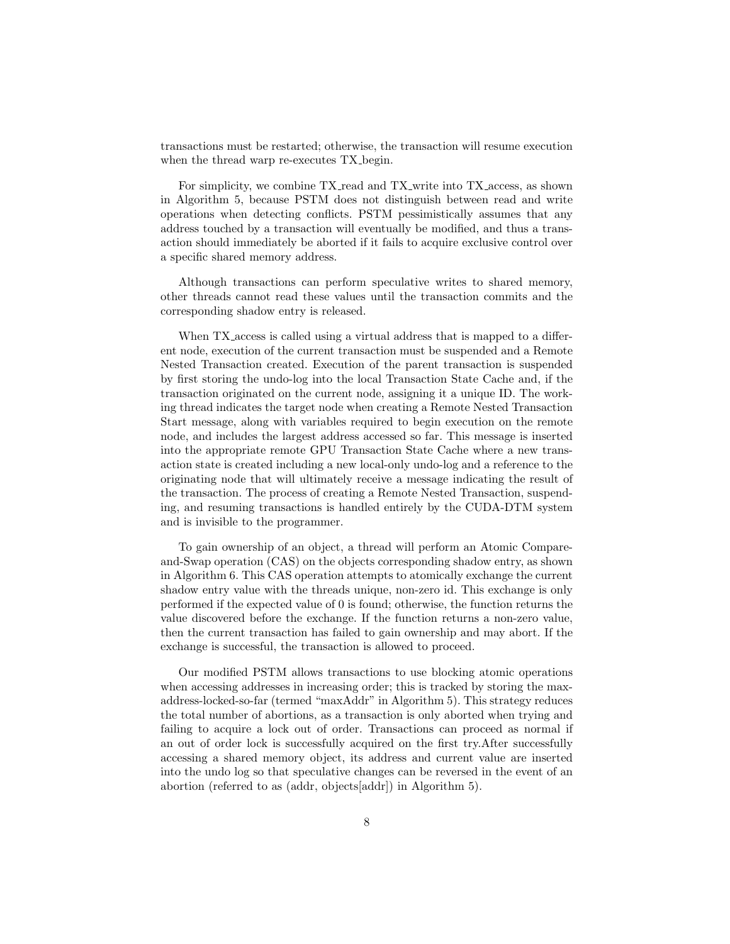transactions must be restarted; otherwise, the transaction will resume execution when the thread warp re-executes TX<sub>-begin</sub>.

For simplicity, we combine TX\_read and TX\_write into TX\_access, as shown in Algorithm 5, because PSTM does not distinguish between read and write operations when detecting conflicts. PSTM pessimistically assumes that any address touched by a transaction will eventually be modified, and thus a transaction should immediately be aborted if it fails to acquire exclusive control over a specific shared memory address.

Although transactions can perform speculative writes to shared memory, other threads cannot read these values until the transaction commits and the corresponding shadow entry is released.

When TX access is called using a virtual address that is mapped to a different node, execution of the current transaction must be suspended and a Remote Nested Transaction created. Execution of the parent transaction is suspended by first storing the undo-log into the local Transaction State Cache and, if the transaction originated on the current node, assigning it a unique ID. The working thread indicates the target node when creating a Remote Nested Transaction Start message, along with variables required to begin execution on the remote node, and includes the largest address accessed so far. This message is inserted into the appropriate remote GPU Transaction State Cache where a new transaction state is created including a new local-only undo-log and a reference to the originating node that will ultimately receive a message indicating the result of the transaction. The process of creating a Remote Nested Transaction, suspending, and resuming transactions is handled entirely by the CUDA-DTM system and is invisible to the programmer.

To gain ownership of an object, a thread will perform an Atomic Compareand-Swap operation (CAS) on the objects corresponding shadow entry, as shown in Algorithm 6. This CAS operation attempts to atomically exchange the current shadow entry value with the threads unique, non-zero id. This exchange is only performed if the expected value of 0 is found; otherwise, the function returns the value discovered before the exchange. If the function returns a non-zero value, then the current transaction has failed to gain ownership and may abort. If the exchange is successful, the transaction is allowed to proceed.

Our modified PSTM allows transactions to use blocking atomic operations when accessing addresses in increasing order; this is tracked by storing the maxaddress-locked-so-far (termed "maxAddr" in Algorithm 5). This strategy reduces the total number of abortions, as a transaction is only aborted when trying and failing to acquire a lock out of order. Transactions can proceed as normal if an out of order lock is successfully acquired on the first try.After successfully accessing a shared memory object, its address and current value are inserted into the undo log so that speculative changes can be reversed in the event of an abortion (referred to as (addr, objects[addr]) in Algorithm 5).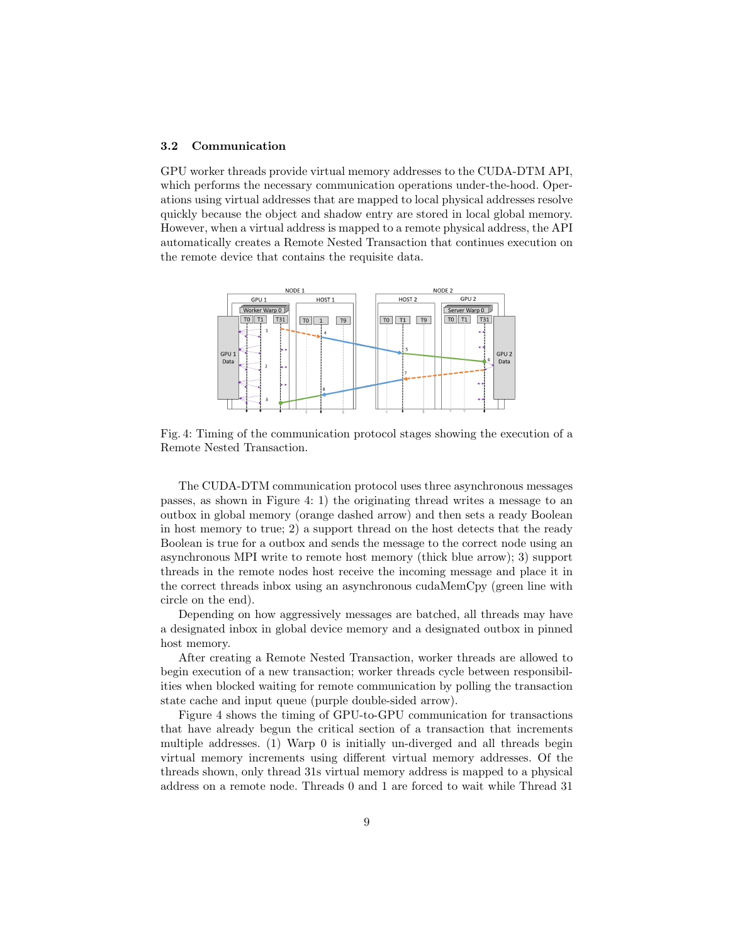#### 3.2 Communication

GPU worker threads provide virtual memory addresses to the CUDA-DTM API, which performs the necessary communication operations under-the-hood. Operations using virtual addresses that are mapped to local physical addresses resolve quickly because the object and shadow entry are stored in local global memory. However, when a virtual address is mapped to a remote physical address, the API automatically creates a Remote Nested Transaction that continues execution on the remote device that contains the requisite data.



Fig. 4: Timing of the communication protocol stages showing the execution of a Remote Nested Transaction.

The CUDA-DTM communication protocol uses three asynchronous messages passes, as shown in Figure 4: 1) the originating thread writes a message to an outbox in global memory (orange dashed arrow) and then sets a ready Boolean in host memory to true; 2) a support thread on the host detects that the ready Boolean is true for a outbox and sends the message to the correct node using an asynchronous MPI write to remote host memory (thick blue arrow); 3) support threads in the remote nodes host receive the incoming message and place it in the correct threads inbox using an asynchronous cudaMemCpy (green line with circle on the end).

Depending on how aggressively messages are batched, all threads may have a designated inbox in global device memory and a designated outbox in pinned host memory.

After creating a Remote Nested Transaction, worker threads are allowed to begin execution of a new transaction; worker threads cycle between responsibilities when blocked waiting for remote communication by polling the transaction state cache and input queue (purple double-sided arrow).

Figure 4 shows the timing of GPU-to-GPU communication for transactions that have already begun the critical section of a transaction that increments multiple addresses. (1) Warp 0 is initially un-diverged and all threads begin virtual memory increments using different virtual memory addresses. Of the threads shown, only thread 31s virtual memory address is mapped to a physical address on a remote node. Threads 0 and 1 are forced to wait while Thread 31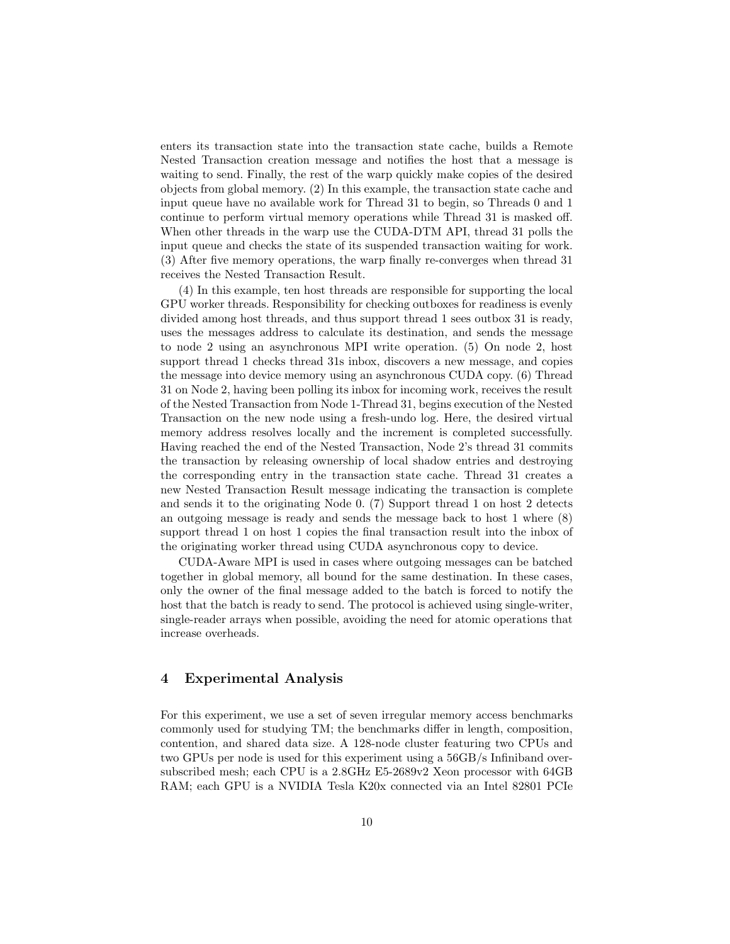enters its transaction state into the transaction state cache, builds a Remote Nested Transaction creation message and notifies the host that a message is waiting to send. Finally, the rest of the warp quickly make copies of the desired objects from global memory. (2) In this example, the transaction state cache and input queue have no available work for Thread 31 to begin, so Threads 0 and 1 continue to perform virtual memory operations while Thread 31 is masked off. When other threads in the warp use the CUDA-DTM API, thread 31 polls the input queue and checks the state of its suspended transaction waiting for work. (3) After five memory operations, the warp finally re-converges when thread 31 receives the Nested Transaction Result.

(4) In this example, ten host threads are responsible for supporting the local GPU worker threads. Responsibility for checking outboxes for readiness is evenly divided among host threads, and thus support thread 1 sees outbox 31 is ready, uses the messages address to calculate its destination, and sends the message to node 2 using an asynchronous MPI write operation. (5) On node 2, host support thread 1 checks thread 31s inbox, discovers a new message, and copies the message into device memory using an asynchronous CUDA copy. (6) Thread 31 on Node 2, having been polling its inbox for incoming work, receives the result of the Nested Transaction from Node 1-Thread 31, begins execution of the Nested Transaction on the new node using a fresh-undo log. Here, the desired virtual memory address resolves locally and the increment is completed successfully. Having reached the end of the Nested Transaction, Node 2's thread 31 commits the transaction by releasing ownership of local shadow entries and destroying the corresponding entry in the transaction state cache. Thread 31 creates a new Nested Transaction Result message indicating the transaction is complete and sends it to the originating Node 0. (7) Support thread 1 on host 2 detects an outgoing message is ready and sends the message back to host 1 where (8) support thread 1 on host 1 copies the final transaction result into the inbox of the originating worker thread using CUDA asynchronous copy to device.

CUDA-Aware MPI is used in cases where outgoing messages can be batched together in global memory, all bound for the same destination. In these cases, only the owner of the final message added to the batch is forced to notify the host that the batch is ready to send. The protocol is achieved using single-writer, single-reader arrays when possible, avoiding the need for atomic operations that increase overheads.

## 4 Experimental Analysis

For this experiment, we use a set of seven irregular memory access benchmarks commonly used for studying TM; the benchmarks differ in length, composition, contention, and shared data size. A 128-node cluster featuring two CPUs and two GPUs per node is used for this experiment using a 56GB/s Infiniband oversubscribed mesh; each CPU is a 2.8GHz E5-2689v2 Xeon processor with 64GB RAM; each GPU is a NVIDIA Tesla K20x connected via an Intel 82801 PCIe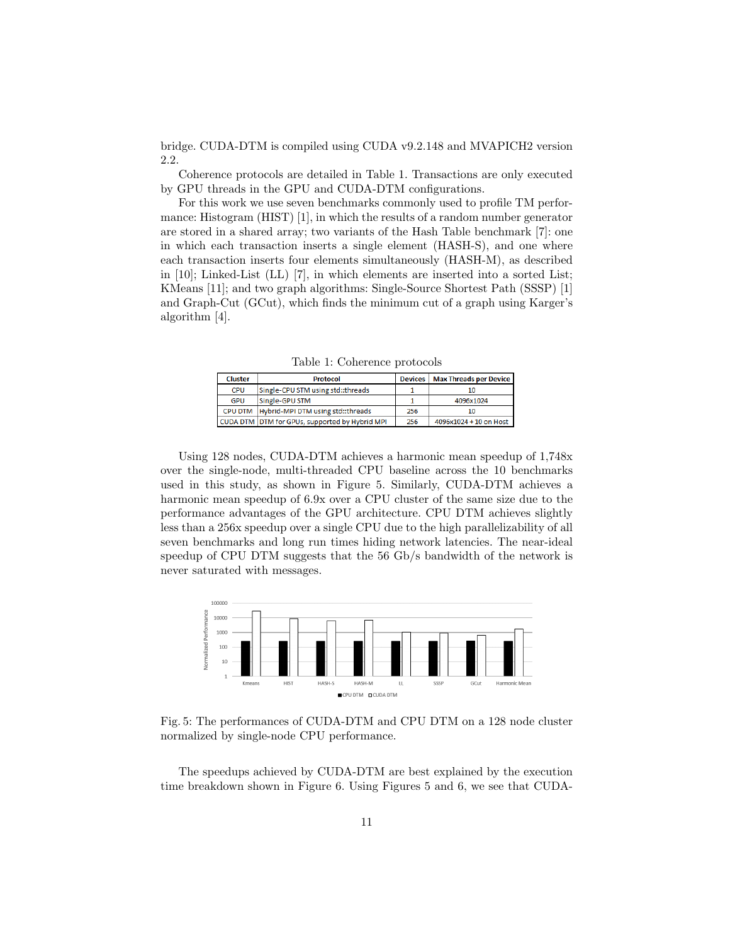bridge. CUDA-DTM is compiled using CUDA v9.2.148 and MVAPICH2 version 2.2.

Coherence protocols are detailed in Table 1. Transactions are only executed by GPU threads in the GPU and CUDA-DTM configurations.

For this work we use seven benchmarks commonly used to profile TM performance: Histogram (HIST) [1], in which the results of a random number generator are stored in a shared array; two variants of the Hash Table benchmark [7]: one in which each transaction inserts a single element (HASH-S), and one where each transaction inserts four elements simultaneously (HASH-M), as described in [10]; Linked-List (LL) [7], in which elements are inserted into a sorted List; KMeans [11]; and two graph algorithms: Single-Source Shortest Path (SSSP) [1] and Graph-Cut (GCut), which finds the minimum cut of a graph using Karger's algorithm [4].

Table 1: Coherence protocols

| <b>Cluster</b> | Protocol                                       | Devices | <b>Max Threads per Device</b> |
|----------------|------------------------------------------------|---------|-------------------------------|
| <b>CPU</b>     | Single-CPU STM using std::threads              |         | 10                            |
| GPU            | Single-GPU STM                                 |         | 4096x1024                     |
|                | CPU DTM   Hybrid-MPI DTM using std::threads    | 256     | 10                            |
|                | CUDA DTM DTM for GPUs, supported by Hybrid MPI | 256     | 4096x1024 + 10 on Host        |

Using 128 nodes, CUDA-DTM achieves a harmonic mean speedup of 1,748x over the single-node, multi-threaded CPU baseline across the 10 benchmarks used in this study, as shown in Figure 5. Similarly, CUDA-DTM achieves a harmonic mean speedup of 6.9x over a CPU cluster of the same size due to the performance advantages of the GPU architecture. CPU DTM achieves slightly less than a 256x speedup over a single CPU due to the high parallelizability of all seven benchmarks and long run times hiding network latencies. The near-ideal speedup of CPU DTM suggests that the 56 Gb/s bandwidth of the network is never saturated with messages.



Fig. 5: The performances of CUDA-DTM and CPU DTM on a 128 node cluster normalized by single-node CPU performance.

The speedups achieved by CUDA-DTM are best explained by the execution time breakdown shown in Figure 6. Using Figures 5 and 6, we see that CUDA-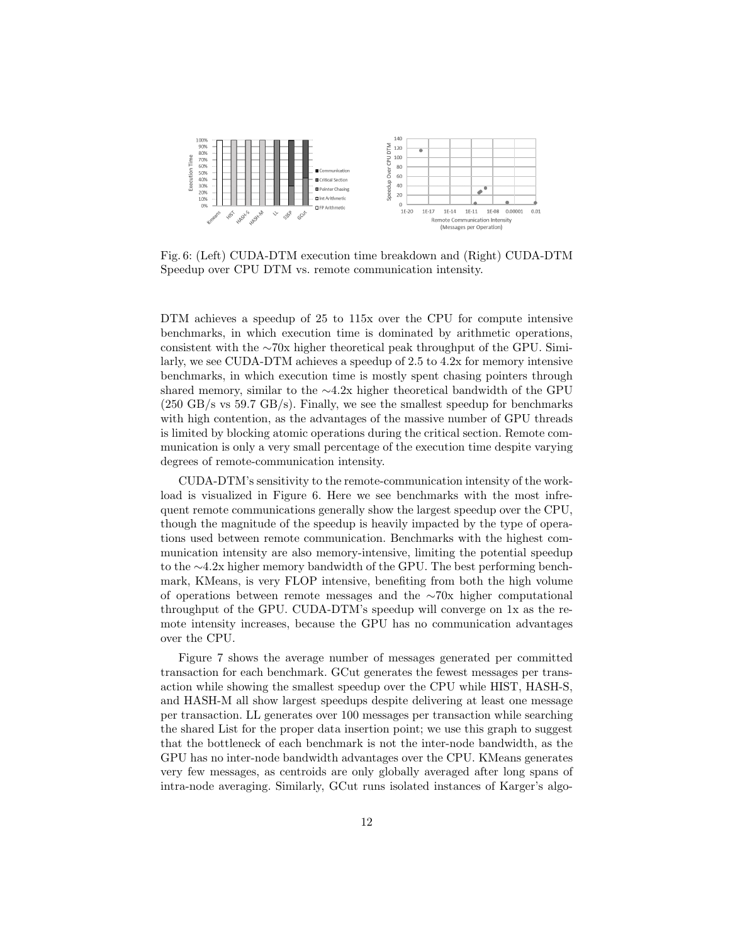

Fig. 6: (Left) CUDA-DTM execution time breakdown and (Right) CUDA-DTM Speedup over CPU DTM vs. remote communication intensity.

DTM achieves a speedup of 25 to 115x over the CPU for compute intensive benchmarks, in which execution time is dominated by arithmetic operations, consistent with the ∼70x higher theoretical peak throughput of the GPU. Similarly, we see CUDA-DTM achieves a speedup of 2.5 to 4.2x for memory intensive benchmarks, in which execution time is mostly spent chasing pointers through shared memory, similar to the  $~\sim 4.2x$  higher theoretical bandwidth of the GPU  $(250 \text{ GB/s} \text{ vs } 59.7 \text{ GB/s})$ . Finally, we see the smallest speedup for benchmarks with high contention, as the advantages of the massive number of GPU threads is limited by blocking atomic operations during the critical section. Remote communication is only a very small percentage of the execution time despite varying degrees of remote-communication intensity.

CUDA-DTM's sensitivity to the remote-communication intensity of the workload is visualized in Figure 6. Here we see benchmarks with the most infrequent remote communications generally show the largest speedup over the CPU, though the magnitude of the speedup is heavily impacted by the type of operations used between remote communication. Benchmarks with the highest communication intensity are also memory-intensive, limiting the potential speedup to the ∼4.2x higher memory bandwidth of the GPU. The best performing benchmark, KMeans, is very FLOP intensive, benefiting from both the high volume of operations between remote messages and the ∼70x higher computational throughput of the GPU. CUDA-DTM's speedup will converge on 1x as the remote intensity increases, because the GPU has no communication advantages over the CPU.

Figure 7 shows the average number of messages generated per committed transaction for each benchmark. GCut generates the fewest messages per transaction while showing the smallest speedup over the CPU while HIST, HASH-S, and HASH-M all show largest speedups despite delivering at least one message per transaction. LL generates over 100 messages per transaction while searching the shared List for the proper data insertion point; we use this graph to suggest that the bottleneck of each benchmark is not the inter-node bandwidth, as the GPU has no inter-node bandwidth advantages over the CPU. KMeans generates very few messages, as centroids are only globally averaged after long spans of intra-node averaging. Similarly, GCut runs isolated instances of Karger's algo-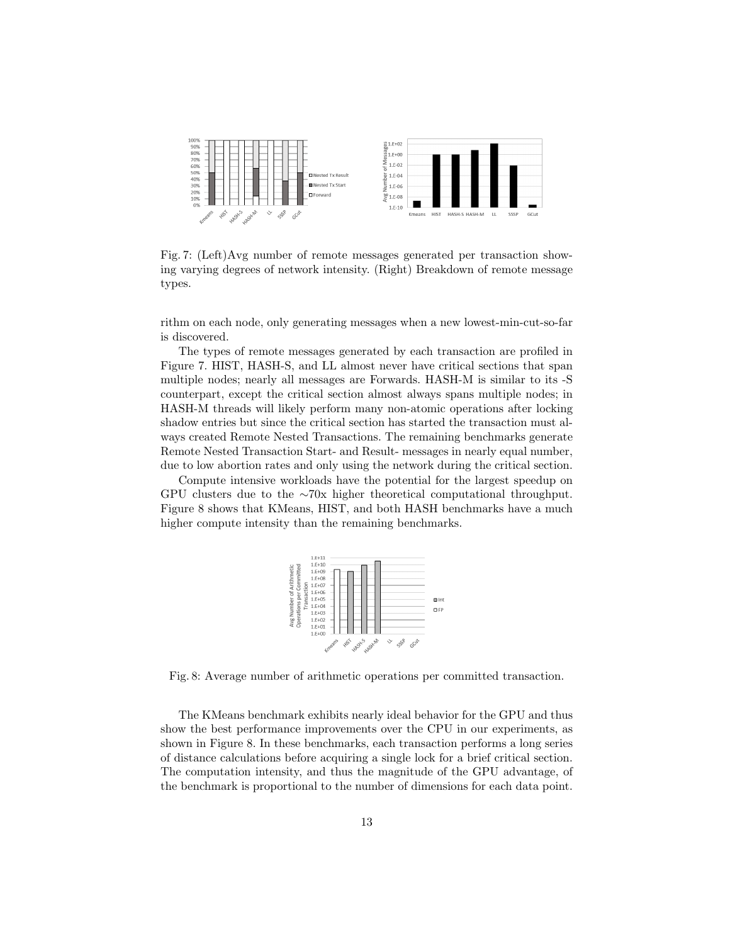

Fig. 7: (Left)Avg number of remote messages generated per transaction showing varying degrees of network intensity. (Right) Breakdown of remote message types.

rithm on each node, only generating messages when a new lowest-min-cut-so-far is discovered.

The types of remote messages generated by each transaction are profiled in Figure 7. HIST, HASH-S, and LL almost never have critical sections that span multiple nodes; nearly all messages are Forwards. HASH-M is similar to its -S counterpart, except the critical section almost always spans multiple nodes; in HASH-M threads will likely perform many non-atomic operations after locking shadow entries but since the critical section has started the transaction must always created Remote Nested Transactions. The remaining benchmarks generate Remote Nested Transaction Start- and Result- messages in nearly equal number, due to low abortion rates and only using the network during the critical section.

Compute intensive workloads have the potential for the largest speedup on GPU clusters due to the ∼70x higher theoretical computational throughput. Figure 8 shows that KMeans, HIST, and both HASH benchmarks have a much higher compute intensity than the remaining benchmarks.



Fig. 8: Average number of arithmetic operations per committed transaction.

The KMeans benchmark exhibits nearly ideal behavior for the GPU and thus show the best performance improvements over the CPU in our experiments, as shown in Figure 8. In these benchmarks, each transaction performs a long series of distance calculations before acquiring a single lock for a brief critical section. The computation intensity, and thus the magnitude of the GPU advantage, of the benchmark is proportional to the number of dimensions for each data point.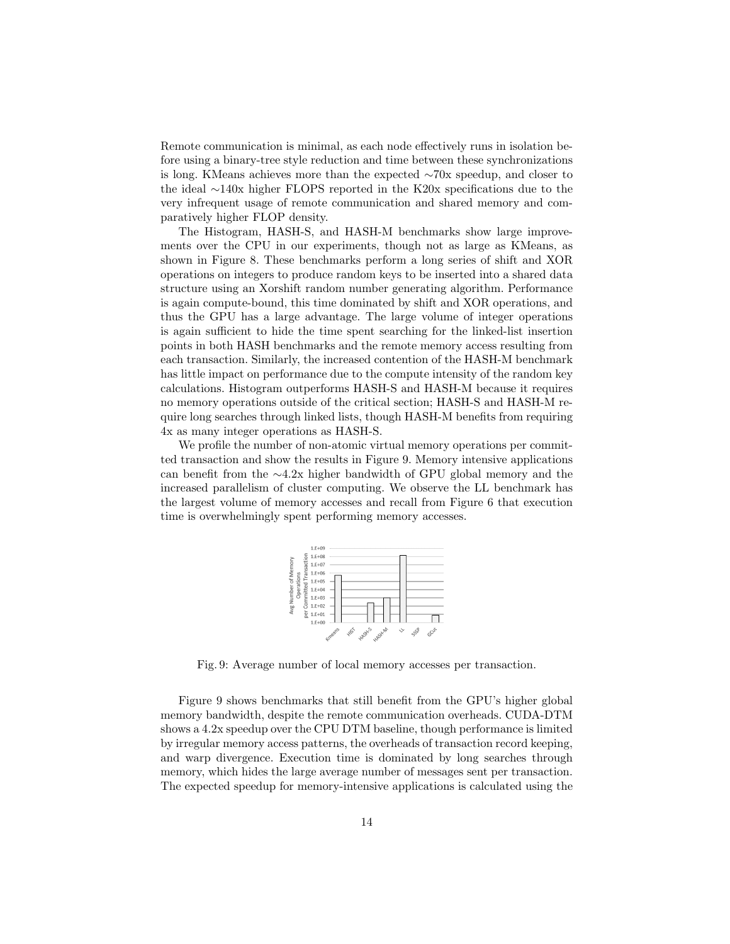Remote communication is minimal, as each node effectively runs in isolation before using a binary-tree style reduction and time between these synchronizations is long. KMeans achieves more than the expected ∼70x speedup, and closer to the ideal ∼140x higher FLOPS reported in the K20x specifications due to the very infrequent usage of remote communication and shared memory and comparatively higher FLOP density.

The Histogram, HASH-S, and HASH-M benchmarks show large improvements over the CPU in our experiments, though not as large as KMeans, as shown in Figure 8. These benchmarks perform a long series of shift and XOR operations on integers to produce random keys to be inserted into a shared data structure using an Xorshift random number generating algorithm. Performance is again compute-bound, this time dominated by shift and XOR operations, and thus the GPU has a large advantage. The large volume of integer operations is again sufficient to hide the time spent searching for the linked-list insertion points in both HASH benchmarks and the remote memory access resulting from each transaction. Similarly, the increased contention of the HASH-M benchmark has little impact on performance due to the compute intensity of the random key calculations. Histogram outperforms HASH-S and HASH-M because it requires no memory operations outside of the critical section; HASH-S and HASH-M require long searches through linked lists, though HASH-M benefits from requiring 4x as many integer operations as HASH-S.

We profile the number of non-atomic virtual memory operations per committed transaction and show the results in Figure 9. Memory intensive applications can benefit from the ∼4.2x higher bandwidth of GPU global memory and the increased parallelism of cluster computing. We observe the LL benchmark has the largest volume of memory accesses and recall from Figure 6 that execution time is overwhelmingly spent performing memory accesses.



Fig. 9: Average number of local memory accesses per transaction.

Figure 9 shows benchmarks that still benefit from the GPU's higher global memory bandwidth, despite the remote communication overheads. CUDA-DTM shows a 4.2x speedup over the CPU DTM baseline, though performance is limited by irregular memory access patterns, the overheads of transaction record keeping, and warp divergence. Execution time is dominated by long searches through memory, which hides the large average number of messages sent per transaction. The expected speedup for memory-intensive applications is calculated using the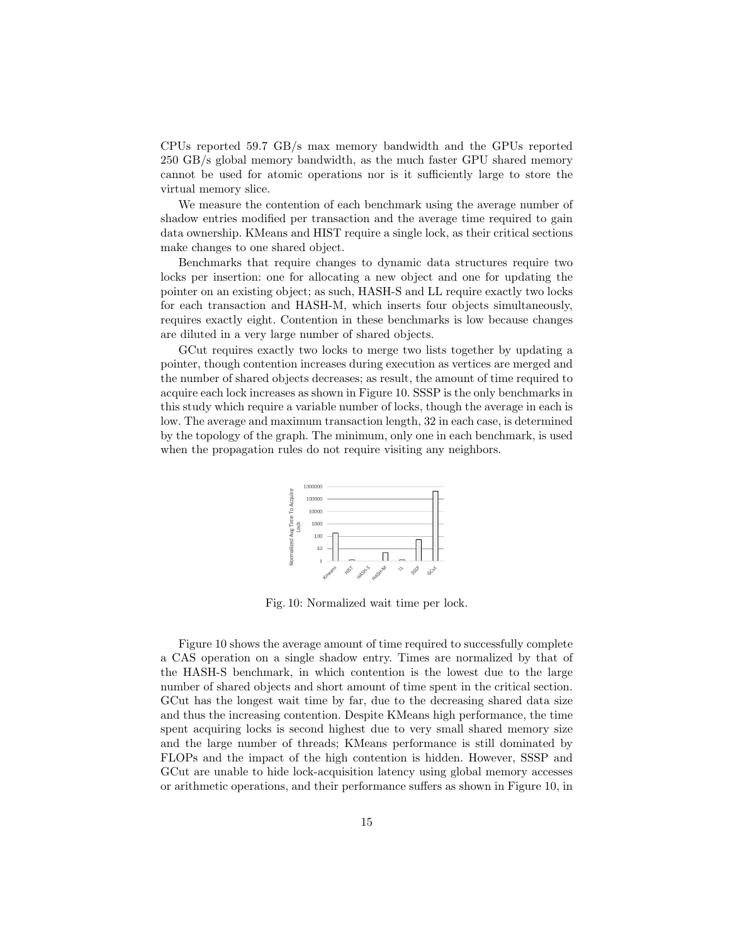CPUs reported 59.7 GB/s max memory bandwidth and the GPUs reported 250 GB/s global memory bandwidth, as the much faster GPU shared memory cannot be used for atomic operations nor is it sufficiently large to store the virtual memory slice.

We measure the contention of each benchmark using the average number of shadow entries modified per transaction and the average time required to gain data ownership. KMeans and HIST require a single lock, as their critical sections make changes to one shared object.

Benchmarks that require changes to dynamic data structures require two locks per insertion: one for allocating a new object and one for updating the pointer on an existing object; as such, HASH-S and LL require exactly two locks for each transaction and HASH-M, which inserts four objects simultaneously, requires exactly eight. Contention in these benchmarks is low because changes are diluted in a very large number of shared objects.

GCut requires exactly two locks to merge two lists together by updating a pointer, though contention increases during execution as vertices are merged and the number of shared objects decreases; as result, the amount of time required to acquire each lock increases as shown in Figure 10. SSSP is the only benchmarks in this study which require a variable number of locks, though the average in each is low. The average and maximum transaction length, 32 in each case, is determined by the topology of the graph. The minimum, only one in each benchmark, is used when the propagation rules do not require visiting any neighbors.



Fig. 10: Normalized wait time per lock.

Figure 10 shows the average amount of time required to successfully complete a CAS operation on a single shadow entry. Times are normalized by that of the HASH-S benchmark, in which contention is the lowest due to the large number of shared objects and short amount of time spent in the critical section. GCut has the longest wait time by far, due to the decreasing shared data size and thus the increasing contention. Despite KMeans high performance, the time spent acquiring locks is second highest due to very small shared memory size and the large number of threads; KMeans performance is still dominated by FLOPs and the impact of the high contention is hidden. However, SSSP and GCut are unable to hide lock-acquisition latency using global memory accesses or arithmetic operations, and their performance suffers as shown in Figure 10, in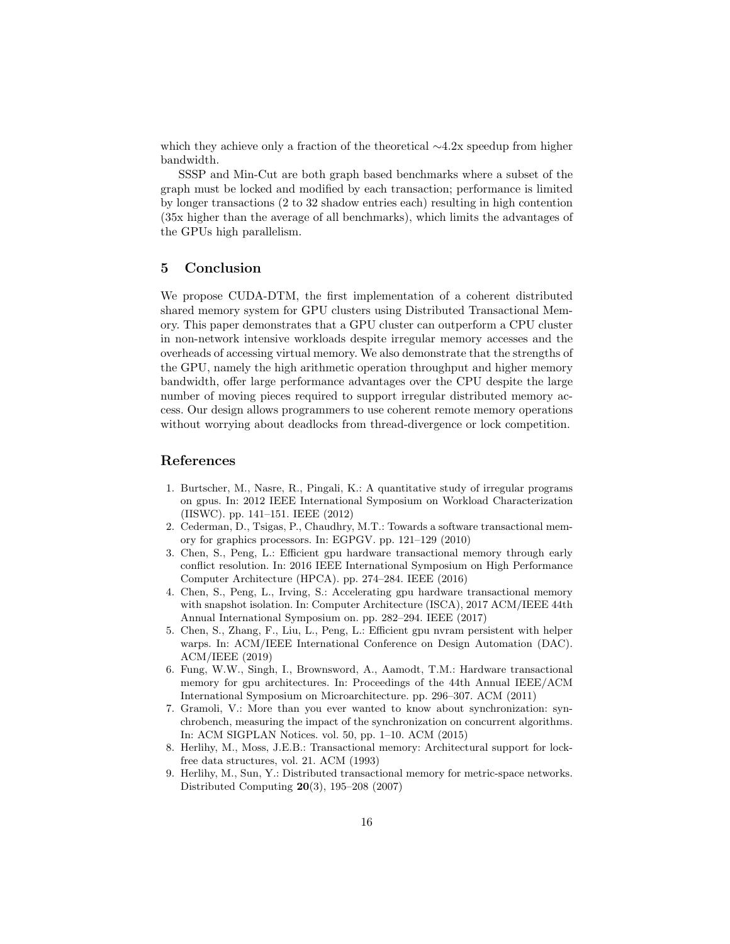which they achieve only a fraction of the theoretical ∼4.2x speedup from higher bandwidth.

SSSP and Min-Cut are both graph based benchmarks where a subset of the graph must be locked and modified by each transaction; performance is limited by longer transactions (2 to 32 shadow entries each) resulting in high contention (35x higher than the average of all benchmarks), which limits the advantages of the GPUs high parallelism.

# 5 Conclusion

We propose CUDA-DTM, the first implementation of a coherent distributed shared memory system for GPU clusters using Distributed Transactional Memory. This paper demonstrates that a GPU cluster can outperform a CPU cluster in non-network intensive workloads despite irregular memory accesses and the overheads of accessing virtual memory. We also demonstrate that the strengths of the GPU, namely the high arithmetic operation throughput and higher memory bandwidth, offer large performance advantages over the CPU despite the large number of moving pieces required to support irregular distributed memory access. Our design allows programmers to use coherent remote memory operations without worrying about deadlocks from thread-divergence or lock competition.

# References

- 1. Burtscher, M., Nasre, R., Pingali, K.: A quantitative study of irregular programs on gpus. In: 2012 IEEE International Symposium on Workload Characterization (IISWC). pp. 141–151. IEEE (2012)
- 2. Cederman, D., Tsigas, P., Chaudhry, M.T.: Towards a software transactional memory for graphics processors. In: EGPGV. pp. 121–129 (2010)
- 3. Chen, S., Peng, L.: Efficient gpu hardware transactional memory through early conflict resolution. In: 2016 IEEE International Symposium on High Performance Computer Architecture (HPCA). pp. 274–284. IEEE (2016)
- 4. Chen, S., Peng, L., Irving, S.: Accelerating gpu hardware transactional memory with snapshot isolation. In: Computer Architecture (ISCA), 2017 ACM/IEEE 44th Annual International Symposium on. pp. 282–294. IEEE (2017)
- 5. Chen, S., Zhang, F., Liu, L., Peng, L.: Efficient gpu nvram persistent with helper warps. In: ACM/IEEE International Conference on Design Automation (DAC). ACM/IEEE (2019)
- 6. Fung, W.W., Singh, I., Brownsword, A., Aamodt, T.M.: Hardware transactional memory for gpu architectures. In: Proceedings of the 44th Annual IEEE/ACM International Symposium on Microarchitecture. pp. 296–307. ACM (2011)
- 7. Gramoli, V.: More than you ever wanted to know about synchronization: synchrobench, measuring the impact of the synchronization on concurrent algorithms. In: ACM SIGPLAN Notices. vol. 50, pp. 1–10. ACM (2015)
- 8. Herlihy, M., Moss, J.E.B.: Transactional memory: Architectural support for lockfree data structures, vol. 21. ACM (1993)
- 9. Herlihy, M., Sun, Y.: Distributed transactional memory for metric-space networks. Distributed Computing 20(3), 195–208 (2007)